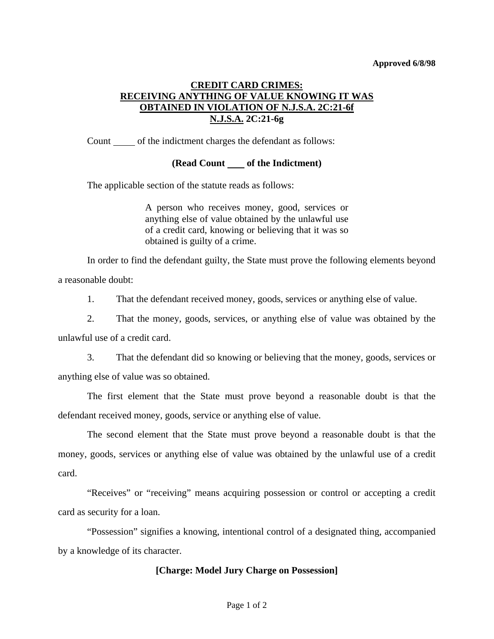#### **Approved 6/8/98**

# **CREDIT CARD CRIMES: RECEIVING ANYTHING OF VALUE KNOWING IT WAS OBTAINED IN VIOLATION OF N.J.S.A. 2C:21-6f N.J.S.A. 2C:21-6g**

Count only of the indictment charges the defendant as follows:

### **(Read Count \_\_\_\_\_ of the Indictment)**

The applicable section of the statute reads as follows:

A person who receives money, good, services or anything else of value obtained by the unlawful use of a credit card, knowing or believing that it was so obtained is guilty of a crime.

 In order to find the defendant guilty, the State must prove the following elements beyond a reasonable doubt:

1. That the defendant received money, goods, services or anything else of value.

 2. That the money, goods, services, or anything else of value was obtained by the unlawful use of a credit card.

 3. That the defendant did so knowing or believing that the money, goods, services or anything else of value was so obtained.

 The first element that the State must prove beyond a reasonable doubt is that the defendant received money, goods, service or anything else of value.

 The second element that the State must prove beyond a reasonable doubt is that the money, goods, services or anything else of value was obtained by the unlawful use of a credit card.

<span id="page-0-0"></span> "Receives" or "receiving" means acquiring possession or control or accepting a credit card as security for a loan.

 "Possession" signifies a knowing, intentional control of a designated thing, accompanied by a knowledge of its character.

### **[Charge: Model Jury Charge on Possession]**